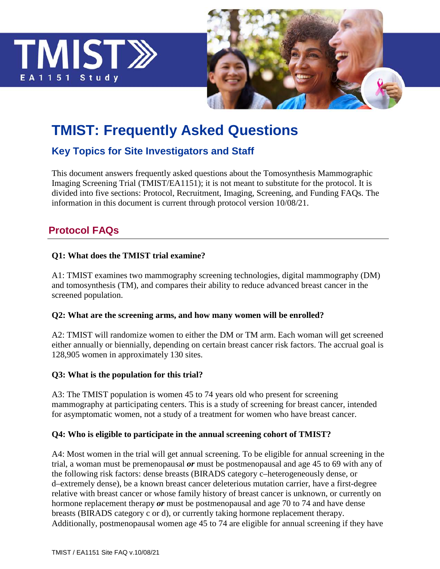



# **TMIST: Frequently Asked Questions**

# **Key Topics for Site Investigators and Staff**

This document answers frequently asked questions about the Tomosynthesis Mammographic Imaging Screening Trial (TMIST/EA1151); it is not meant to substitute for the protocol. It is divided into five sections: Protocol, Recruitment, Imaging, Screening, and Funding FAQs. The information in this document is current through protocol version 10/08/21.

# **Protocol FAQs**

### **Q1: What does the TMIST trial examine?**

A1: TMIST examines two mammography screening technologies, digital mammography (DM) and tomosynthesis (TM), and compares their ability to reduce advanced breast cancer in the screened population.

### **Q2: What are the screening arms, and how many women will be enrolled?**

A2: TMIST will randomize women to either the DM or TM arm. Each woman will get screened either annually or biennially, depending on certain breast cancer risk factors. The accrual goal is 128,905 women in approximately 130 sites.

### **Q3: What is the population for this trial?**

A3: The TMIST population is women 45 to 74 years old who present for screening mammography at participating centers. This is a study of screening for breast cancer, intended for asymptomatic women, not a study of a treatment for women who have breast cancer.

### **Q4: Who is eligible to participate in the annual screening cohort of TMIST?**

A4: Most women in the trial will get annual screening. To be eligible for annual screening in the trial, a woman must be premenopausal *or* must be postmenopausal and age 45 to 69 with any of the following risk factors: dense breasts (BIRADS category c–heterogeneously dense, or d–extremely dense), be a known breast cancer deleterious mutation carrier, have a first-degree relative with breast cancer or whose family history of breast cancer is unknown, or currently on hormone replacement therapy *or* must be postmenopausal and age 70 to 74 and have dense breasts (BIRADS category c or d), or currently taking hormone replacement therapy. Additionally, postmenopausal women age 45 to 74 are eligible for annual screening if they have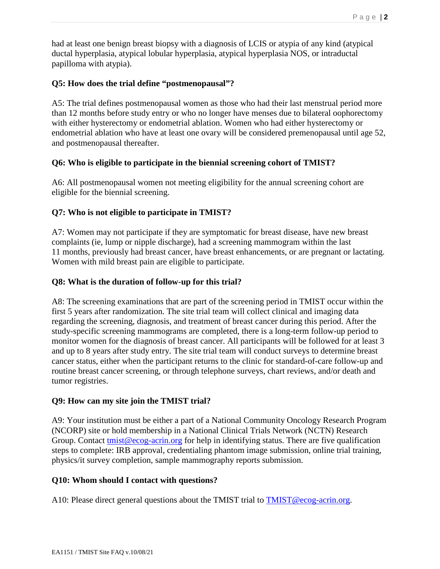had at least one benign breast biopsy with a diagnosis of LCIS or atypia of any kind (atypical ductal hyperplasia, atypical lobular hyperplasia, atypical hyperplasia NOS, or intraductal papilloma with atypia).

### **Q5: How does the trial define "postmenopausal"?**

A5: The trial defines postmenopausal women as those who had their last menstrual period more than 12 months before study entry or who no longer have menses due to bilateral oophorectomy with either hysterectomy or endometrial ablation. Women who had either hysterectomy or endometrial ablation who have at least one ovary will be considered premenopausal until age 52, and postmenopausal thereafter.

### **Q6: Who is eligible to participate in the biennial screening cohort of TMIST?**

A6: All postmenopausal women not meeting eligibility for the annual screening cohort are eligible for the biennial screening.

### **Q7: Who is not eligible to participate in TMIST?**

A7: Women may not participate if they are symptomatic for breast disease, have new breast complaints (ie, lump or nipple discharge), had a screening mammogram within the last 11 months, previously had breast cancer, have breast enhancements, or are pregnant or lactating. Women with mild breast pain are eligible to participate.

### **Q8: What is the duration of follow-up for this trial?**

A8: The screening examinations that are part of the screening period in TMIST occur within the first 5 years after randomization. The site trial team will collect clinical and imaging data regarding the screening, diagnosis, and treatment of breast cancer during this period. After the study-specific screening mammograms are completed, there is a long-term follow-up period to monitor women for the diagnosis of breast cancer. All participants will be followed for at least 3 and up to 8 years after study entry. The site trial team will conduct surveys to determine breast cancer status, either when the participant returns to the clinic for standard-of-care follow-up and routine breast cancer screening, or through telephone surveys, chart reviews, and/or death and tumor registries.

### **Q9: How can my site join the TMIST trial?**

A9: Your institution must be either a part of a National Community Oncology Research Program (NCORP) site or hold membership in a National Clinical Trials Network (NCTN) Research Group. Contact [tmist@ecog-acrin.org](mailto:tmist@ecog-acrin.org) for help in identifying status. There are five qualification steps to complete: IRB approval, credentialing phantom image submission, online trial training, physics/it survey completion, sample mammography reports submission.

### **Q10: Whom should I contact with questions?**

A10: Please direct general questions about the TMIST trial to **TMIST@ecog-acrin.org.**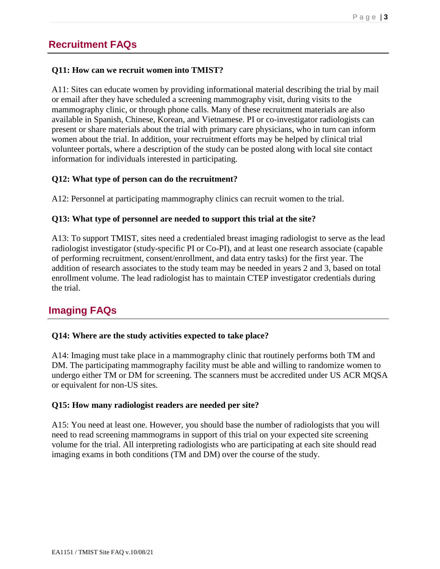### **Recruitment FAQs**

#### **Q11: How can we recruit women into TMIST?**

A11: Sites can educate women by providing informational material describing the trial by mail or email after they have scheduled a screening mammography visit, during visits to the mammography clinic, or through phone calls. Many of these recruitment materials are also available in Spanish, Chinese, Korean, and Vietnamese. PI or co-investigator radiologists can present or share materials about the trial with primary care physicians, who in turn can inform women about the trial. In addition, your recruitment efforts may be helped by clinical trial volunteer portals, where a description of the study can be posted along with local site contact information for individuals interested in participating.

### **Q12: What type of person can do the recruitment?**

A12: Personnel at participating mammography clinics can recruit women to the trial.

#### **Q13: What type of personnel are needed to support this trial at the site?**

A13: To support TMIST, sites need a credentialed breast imaging radiologist to serve as the lead radiologist investigator (study-specific PI or Co-PI), and at least one research associate (capable of performing recruitment, consent/enrollment, and data entry tasks) for the first year. The addition of research associates to the study team may be needed in years 2 and 3, based on total enrollment volume. The lead radiologist has to maintain CTEP investigator credentials during the trial.

### **Imaging FAQs**

#### **Q14: Where are the study activities expected to take place?**

A14: Imaging must take place in a mammography clinic that routinely performs both TM and DM. The participating mammography facility must be able and willing to randomize women to undergo either TM or DM for screening. The scanners must be accredited under US ACR MQSA or equivalent for non-US sites.

#### **Q15: How many radiologist readers are needed per site?**

A15: You need at least one. However, you should base the number of radiologists that you will need to read screening mammograms in support of this trial on your expected site screening volume for the trial. All interpreting radiologists who are participating at each site should read imaging exams in both conditions (TM and DM) over the course of the study.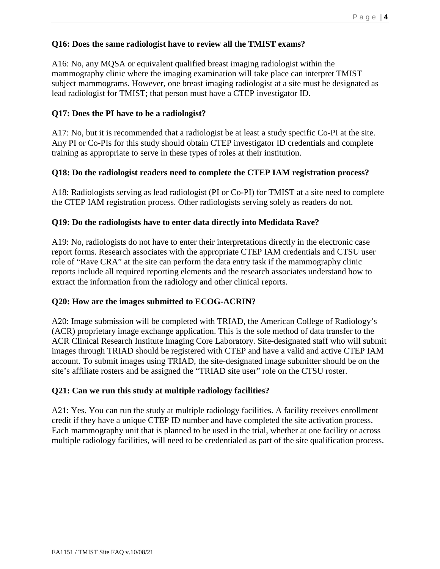### **Q16: Does the same radiologist have to review all the TMIST exams?**

A16: No, any MQSA or equivalent qualified breast imaging radiologist within the mammography clinic where the imaging examination will take place can interpret TMIST subject mammograms. However, one breast imaging radiologist at a site must be designated as lead radiologist for TMIST; that person must have a CTEP investigator ID.

### **Q17: Does the PI have to be a radiologist?**

A17: No, but it is recommended that a radiologist be at least a study specific Co-PI at the site. Any PI or Co-PIs for this study should obtain CTEP investigator ID credentials and complete training as appropriate to serve in these types of roles at their institution.

### **Q18: Do the radiologist readers need to complete the CTEP IAM registration process?**

A18: Radiologists serving as lead radiologist (PI or Co-PI) for TMIST at a site need to complete the CTEP IAM registration process. Other radiologists serving solely as readers do not.

### **Q19: Do the radiologists have to enter data directly into Medidata Rave?**

A19: No, radiologists do not have to enter their interpretations directly in the electronic case report forms. Research associates with the appropriate CTEP IAM credentials and CTSU user role of "Rave CRA" at the site can perform the data entry task if the mammography clinic reports include all required reporting elements and the research associates understand how to extract the information from the radiology and other clinical reports.

### **Q20: How are the images submitted to ECOG-ACRIN?**

A20: Image submission will be completed with TRIAD, the American College of Radiology's (ACR) proprietary image exchange application. This is the sole method of data transfer to the ACR Clinical Research Institute Imaging Core Laboratory. Site-designated staff who will submit images through TRIAD should be registered with CTEP and have a valid and active CTEP IAM account. To submit images using TRIAD, the site-designated image submitter should be on the site's affiliate rosters and be assigned the "TRIAD site user" role on the CTSU roster.

### **Q21: Can we run this study at multiple radiology facilities?**

A21: Yes. You can run the study at multiple radiology facilities. A facility receives enrollment credit if they have a unique CTEP ID number and have completed the site activation process. Each mammography unit that is planned to be used in the trial, whether at one facility or across multiple radiology facilities, will need to be credentialed as part of the site qualification process.